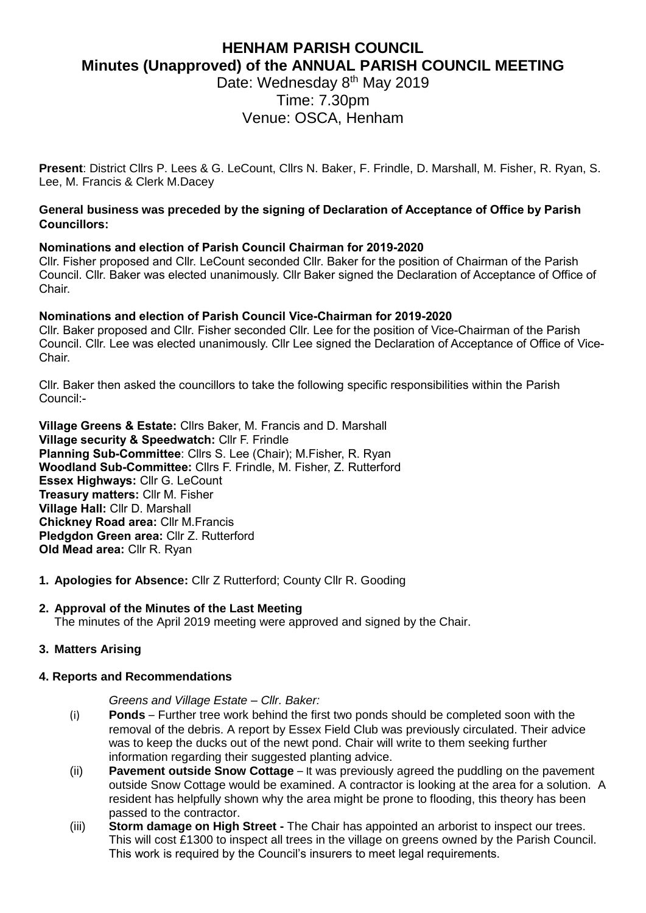# **HENHAM PARISH COUNCIL Minutes (Unapproved) of the ANNUAL PARISH COUNCIL MEETING**

Date: Wednesday 8<sup>th</sup> May 2019 Time: 7.30pm Venue: OSCA, Henham

**Present**: District Cllrs P. Lees & G. LeCount, Cllrs N. Baker, F. Frindle, D. Marshall, M. Fisher, R. Ryan, S. Lee, M. Francis & Clerk M.Dacey

### **General business was preceded by the signing of Declaration of Acceptance of Office by Parish Councillors:**

# **Nominations and election of Parish Council Chairman for 2019-2020**

Cllr. Fisher proposed and Cllr. LeCount seconded Cllr. Baker for the position of Chairman of the Parish Council. Cllr. Baker was elected unanimously. Cllr Baker signed the Declaration of Acceptance of Office of Chair.

# **Nominations and election of Parish Council Vice-Chairman for 2019-2020**

Cllr. Baker proposed and Cllr. Fisher seconded Cllr. Lee for the position of Vice-Chairman of the Parish Council. Cllr. Lee was elected unanimously. Cllr Lee signed the Declaration of Acceptance of Office of Vice-Chair.

Cllr. Baker then asked the councillors to take the following specific responsibilities within the Parish Council:-

**Village Greens & Estate:** Cllrs Baker, M. Francis and D. Marshall **Village security & Speedwatch:** Cllr F. Frindle **Planning Sub-Committee**: Cllrs S. Lee (Chair); M.Fisher, R. Ryan **Woodland Sub-Committee:** Cllrs F. Frindle, M. Fisher, Z. Rutterford **Essex Highways:** Cllr G. LeCount **Treasury matters:** Cllr M. Fisher **Village Hall:** Cllr D. Marshall **Chickney Road area:** Cllr M.Francis **Pledgdon Green area:** Cllr Z. Rutterford **Old Mead area:** Cllr R. Ryan

**1. Apologies for Absence:** Cllr Z Rutterford; County Cllr R. Gooding

# **2. Approval of the Minutes of the Last Meeting**

The minutes of the April 2019 meeting were approved and signed by the Chair.

# **3. Matters Arising**

#### **4. Reports and Recommendations**

*Greens and Village Estate – Cllr. Baker:*

- (i) **Ponds**  Further tree work behind the first two ponds should be completed soon with the removal of the debris. A report by Essex Field Club was previously circulated. Their advice was to keep the ducks out of the newt pond. Chair will write to them seeking further information regarding their suggested planting advice.
- (ii) **Pavement outside Snow Cottage**  It was previously agreed the puddling on the pavement outside Snow Cottage would be examined. A contractor is looking at the area for a solution. A resident has helpfully shown why the area might be prone to flooding, this theory has been passed to the contractor.
- (iii) **Storm damage on High Street -** The Chair has appointed an arborist to inspect our trees. This will cost £1300 to inspect all trees in the village on greens owned by the Parish Council. This work is required by the Council's insurers to meet legal requirements.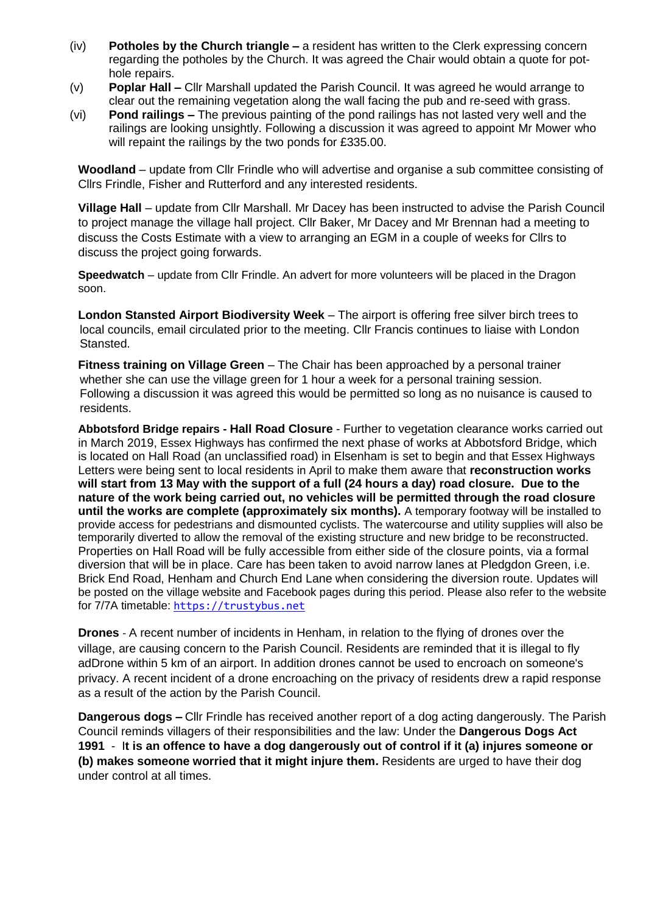- (iv) **Potholes by the Church triangle –** a resident has written to the Clerk expressing concern regarding the potholes by the Church. It was agreed the Chair would obtain a quote for pothole repairs.
- (v) **Poplar Hall –** Cllr Marshall updated the Parish Council. It was agreed he would arrange to clear out the remaining vegetation along the wall facing the pub and re-seed with grass.
- (vi) **Pond railings –** The previous painting of the pond railings has not lasted very well and the railings are looking unsightly. Following a discussion it was agreed to appoint Mr Mower who will repaint the railings by the two ponds for £335.00.

**Woodland** – update from Cllr Frindle who will advertise and organise a sub committee consisting of Cllrs Frindle, Fisher and Rutterford and any interested residents.

**Village Hall** – update from Cllr Marshall. Mr Dacey has been instructed to advise the Parish Council to project manage the village hall project. Cllr Baker, Mr Dacey and Mr Brennan had a meeting to discuss the Costs Estimate with a view to arranging an EGM in a couple of weeks for Cllrs to discuss the project going forwards.

**Speedwatch** – update from Cllr Frindle. An advert for more volunteers will be placed in the Dragon soon.

**London Stansted Airport Biodiversity Week** – The airport is offering free silver birch trees to local councils, email circulated prior to the meeting. Cllr Francis continues to liaise with London Stansted.

**Fitness training on Village Green** – The Chair has been approached by a personal trainer whether she can use the village green for 1 hour a week for a personal training session. Following a discussion it was agreed this would be permitted so long as no nuisance is caused to residents.

**Abbotsford Bridge repairs - Hall Road Closure** - Further to vegetation clearance works carried out in March 2019, Essex Highways has confirmed the next phase of works at Abbotsford Bridge, which is located on Hall Road (an unclassified road) in Elsenham is set to begin and that Essex Highways Letters were being sent to local residents in April to make them aware that **reconstruction works will start from 13 May with the support of a full (24 hours a day) road closure. Due to the nature of the work being carried out, no vehicles will be permitted through the road closure until the works are complete (approximately six months).** A temporary footway will be installed to provide access for pedestrians and dismounted cyclists. The watercourse and utility supplies will also be temporarily diverted to allow the removal of the existing structure and new bridge to be reconstructed. Properties on Hall Road will be fully accessible from either side of the closure points, via a formal diversion that will be in place. Care has been taken to avoid narrow lanes at Pledgdon Green, i.e. Brick End Road, Henham and Church End Lane when considering the diversion route. Updates will be posted on the village website and Facebook pages during this period. Please also refer to the website for 7/7A timetable: [https://trustybus.net](https://trustybus.net/)

**Drones** - A recent number of incidents in Henham, in relation to the flying of drones over the village, are causing concern to the Parish Council. Residents are reminded that it is illegal to fly adDrone within 5 km of an airport. In addition drones cannot be used to encroach on someone's privacy. A recent incident of a drone encroaching on the privacy of residents drew a rapid response as a result of the action by the Parish Council.

**Dangerous dogs –** Cllr Frindle has received another report of a dog acting dangerously. The Parish Council reminds villagers of their responsibilities and the law: Under the **Dangerous Dogs Act 1991** - I**t is an offence to have a dog dangerously out of control if it (a) injures someone or (b) makes someone worried that it might injure them.** Residents are urged to have their dog under control at all times.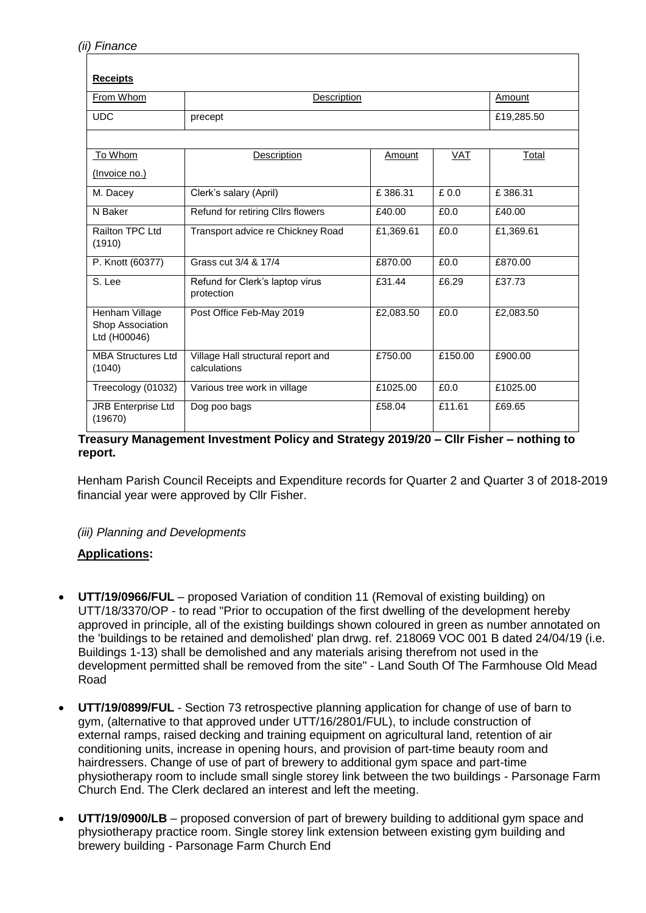| <b>Receipts</b>                                    |                                                    |           |         |            |
|----------------------------------------------------|----------------------------------------------------|-----------|---------|------------|
| From Whom                                          | Description                                        |           |         | Amount     |
| <b>UDC</b>                                         | precept                                            |           |         | £19,285.50 |
|                                                    |                                                    |           |         |            |
| To Whom                                            | <b>Description</b>                                 | Amount    | VAT     | Total      |
| (Invoice no.)                                      |                                                    |           |         |            |
| M. Dacey                                           | Clerk's salary (April)                             | £386.31   | £0.0    | £386.31    |
| N Baker                                            | Refund for retiring ClIrs flowers                  | £40.00    | £0.0    | £40.00     |
| Railton TPC Ltd<br>(1910)                          | Transport advice re Chickney Road                  | £1,369.61 | £0.0    | £1,369.61  |
| P. Knott (60377)                                   | Grass cut 3/4 & 17/4                               | £870.00   | £0.0    | £870.00    |
| S. Lee                                             | Refund for Clerk's laptop virus<br>protection      | £31.44    | £6.29   | £37.73     |
| Henham Village<br>Shop Association<br>Ltd (H00046) | Post Office Feb-May 2019                           | £2,083.50 | £0.0    | £2,083.50  |
| <b>MBA Structures Ltd</b><br>(1040)                | Village Hall structural report and<br>calculations | £750.00   | £150.00 | £900.00    |
| Treecology (01032)                                 | Various tree work in village                       | £1025.00  | £0.0    | £1025.00   |
| <b>JRB Enterprise Ltd</b><br>(19670)               | Dog poo bags                                       | £58.04    | £11.61  | £69.65     |

#### **Treasury Management Investment Policy and Strategy 2019/20 – Cllr Fisher – nothing to report.**

Henham Parish Council Receipts and Expenditure records for Quarter 2 and Quarter 3 of 2018-2019 financial year were approved by Cllr Fisher.

#### *(iii) Planning and Developments*

# **Applications:**

- **UTT/19/0966/FUL** proposed Variation of condition 11 (Removal of existing building) on UTT/18/3370/OP - to read "Prior to occupation of the first dwelling of the development hereby approved in principle, all of the existing buildings shown coloured in green as number annotated on the 'buildings to be retained and demolished' plan drwg. ref. 218069 VOC 001 B dated 24/04/19 (i.e. Buildings 1-13) shall be demolished and any materials arising therefrom not used in the development permitted shall be removed from the site" - Land South Of The Farmhouse Old Mead Road
- **UTT/19/0899/FUL** Section 73 retrospective planning application for change of use of barn to gym, (alternative to that approved under UTT/16/2801/FUL), to include construction of external ramps, raised decking and training equipment on agricultural land, retention of air conditioning units, increase in opening hours, and provision of part-time beauty room and hairdressers. Change of use of part of brewery to additional gym space and part-time physiotherapy room to include small single storey link between the two buildings - Parsonage Farm Church End. The Clerk declared an interest and left the meeting.
- **UTT/19/0900/LB** proposed conversion of part of brewery building to additional gym space and physiotherapy practice room. Single storey link extension between existing gym building and brewery building - Parsonage Farm Church End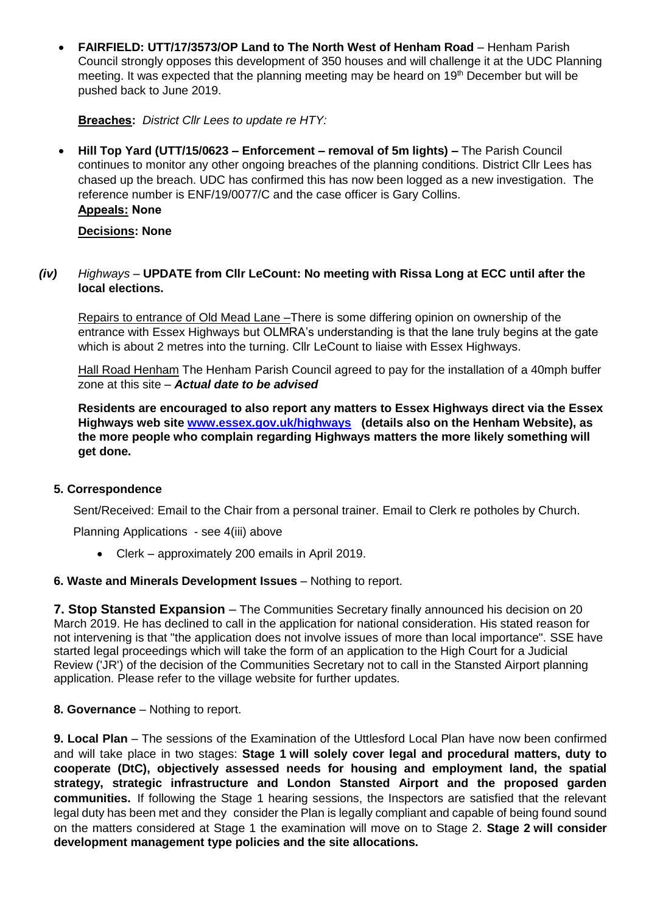• **FAIRFIELD: UTT/17/3573/OP Land to The North West of Henham Road** – Henham Parish Council strongly opposes this development of 350 houses and will challenge it at the UDC Planning meeting. It was expected that the planning meeting may be heard on 19<sup>th</sup> December but will be pushed back to June 2019.

**Breaches:** *District Cllr Lees to update re HTY:*

• **Hill Top Yard (UTT/15/0623 – Enforcement – removal of 5m lights) –** The Parish Council continues to monitor any other ongoing breaches of the planning conditions. District Cllr Lees has chased up the breach. UDC has confirmed this has now been logged as a new investigation. The reference number is ENF/19/0077/C and the case officer is Gary Collins. **Appeals: None**

**Decisions: None**

### *(iv) Highways –* **UPDATE from Cllr LeCount: No meeting with Rissa Long at ECC until after the local elections.**

Repairs to entrance of Old Mead Lane –There is some differing opinion on ownership of the entrance with Essex Highways but OLMRA's understanding is that the lane truly begins at the gate which is about 2 metres into the turning. Cllr LeCount to liaise with Essex Highways.

Hall Road Henham The Henham Parish Council agreed to pay for the installation of a 40mph buffer zone at this site – *Actual date to be advised* 

**Residents are encouraged to also report any matters to Essex Highways direct via the Essex Highways web site [www.essex.gov.uk/highways](http://www.essex.gov.uk/highways) (details also on the Henham Website), as the more people who complain regarding Highways matters the more likely something will get done.**

# **5. Correspondence**

Sent/Received: Email to the Chair from a personal trainer. Email to Clerk re potholes by Church.

Planning Applications - see 4(iii) above

• Clerk – approximately 200 emails in April 2019.

#### **6. Waste and Minerals Development Issues** - Nothing to report.

**7. Stop Stansted Expansion** – The Communities Secretary finally announced his decision on 20 March 2019. He has declined to call in the application for national consideration. His stated reason for not intervening is that "the application does not involve issues of more than local importance". SSE have started legal proceedings which will take the form of an application to the High Court for a Judicial Review ('JR') of the decision of the Communities Secretary not to call in the Stansted Airport planning application. Please refer to the village website for further updates.

# **8. Governance** – Nothing to report.

**9. Local Plan** – The sessions of the Examination of the Uttlesford Local Plan have now been confirmed and will take place in two stages: **Stage 1 will solely cover legal and procedural matters, duty to cooperate (DtC), objectively assessed needs for housing and employment land, the spatial strategy, strategic infrastructure and London Stansted Airport and the proposed garden communities.** If following the Stage 1 hearing sessions, the Inspectors are satisfied that the relevant legal duty has been met and they consider the Plan is legally compliant and capable of being found sound on the matters considered at Stage 1 the examination will move on to Stage 2. **Stage 2 will consider development management type policies and the site allocations.**